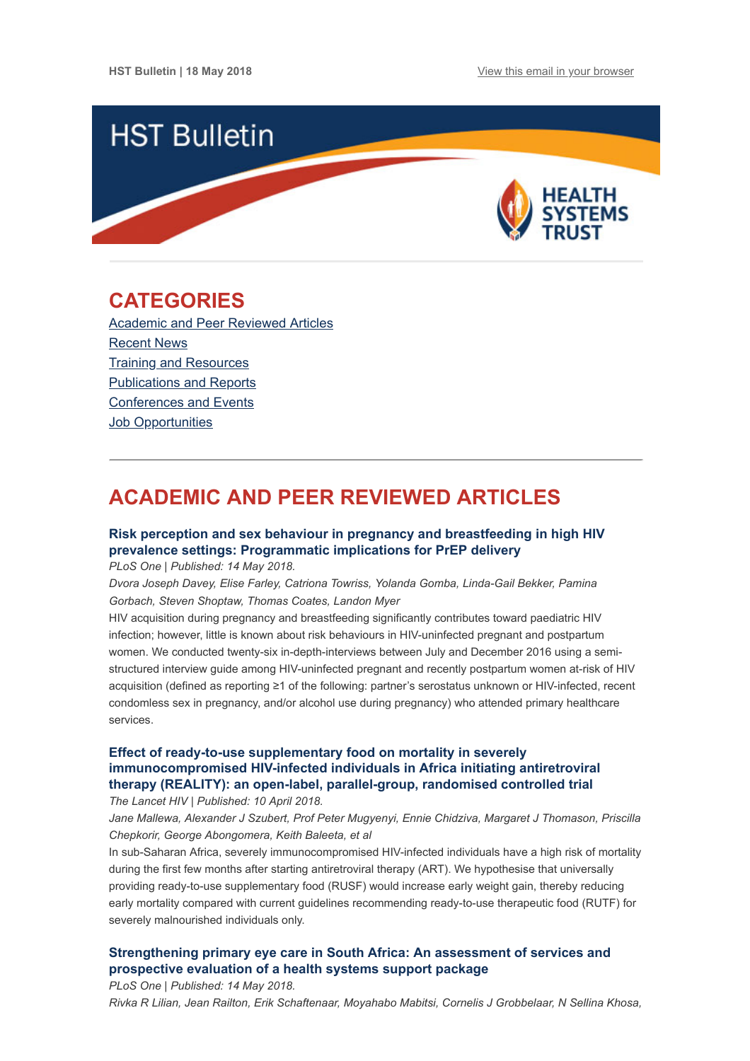

## <span id="page-0-1"></span>**CATEGORIES**

[Academic and Peer Reviewed Articles](#page-0-0) [Recent News](#page-1-0) [Training and Resources](#page-2-0) [Publications and Reports](#page-3-0) [Conferences and Events](#page-3-1) Job Opportunities

# <span id="page-0-0"></span>**ACADEMIC AND PEER REVIEWED ARTICLES**

## **[Risk perception and sex behaviour in pregnancy and breastfeeding in high HIV](http://journals.plos.org/plosone/article?id=10.1371/journal.pone.0197143) prevalence settings: Programmatic implications for PrEP delivery**

*PLoS One | Published: 14 May 2018.*

*Dvora Joseph Davey, Elise Farley, Catriona Towriss, Yolanda Gomba, Linda-Gail Bekker, Pamina Gorbach, Steven Shoptaw, Thomas Coates, Landon Myer*

HIV acquisition during pregnancy and breastfeeding significantly contributes toward paediatric HIV infection; however, little is known about risk behaviours in HIV-uninfected pregnant and postpartum women. We conducted twenty-six in-depth-interviews between July and December 2016 using a semistructured interview guide among HIV-uninfected pregnant and recently postpartum women at-risk of HIV acquisition (defined as reporting ≥1 of the following: partner's serostatus unknown or HIV-infected, recent condomless sex in pregnancy, and/or alcohol use during pregnancy) who attended primary healthcare services.

## **Effect of ready-to-use supplementary food on mortality in severely [immunocompromised HIV-infected individuals in Africa initiating antiretroviral](https://www.thelancet.com/journals/lanhiv/article/PIIS2352-3018(18)30038-9/fulltext) therapy (REALITY): an open-label, parallel-group, randomised controlled trial**

*The Lancet HIV | Published: 10 April 2018.*

*Jane Mallewa, Alexander J Szubert, Prof Peter Mugyenyi, Ennie Chidziva, Margaret J Thomason, Priscilla Chepkorir, George Abongomera, Keith Baleeta, et al*

In sub-Saharan Africa, severely immunocompromised HIV-infected individuals have a high risk of mortality during the first few months after starting antiretroviral therapy (ART). We hypothesise that universally providing ready-to-use supplementary food (RUSF) would increase early weight gain, thereby reducing early mortality compared with current guidelines recommending ready-to-use therapeutic food (RUTF) for severely malnourished individuals only.

## **[Strengthening primary eye care in South Africa: An assessment of services and](http://journals.plos.org/plosone/article?id=10.1371/journal.pone.0197432) prospective evaluation of a health systems support package**

*PLoS One | Published: 14 May 2018. Rivka R Lilian, Jean Railton, Erik Schaftenaar, Moyahabo Mabitsi, Cornelis J Grobbelaar, N Sellina Khosa,*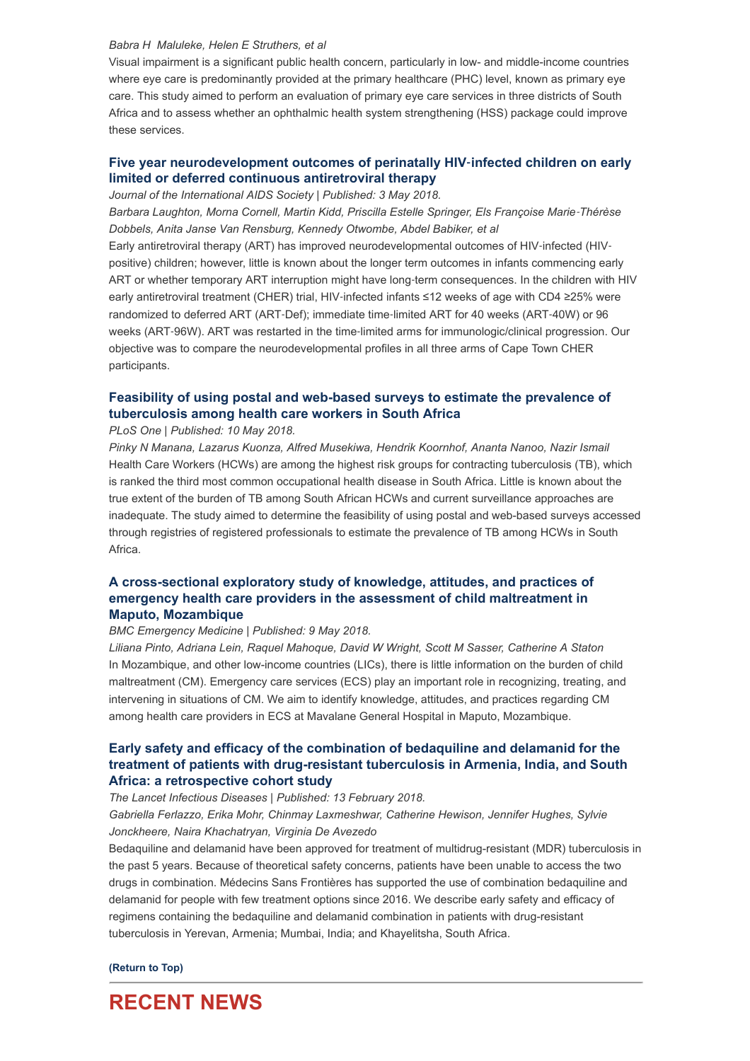#### *Babra H Maluleke, Helen E Struthers, et al*

Visual impairment is a significant public health concern, particularly in low- and middle-income countries where eye care is predominantly provided at the primary healthcare (PHC) level, known as primary eye care. This study aimed to perform an evaluation of primary eye care services in three districts of South Africa and to assess whether an ophthalmic health system strengthening (HSS) package could improve these services.

## **[Five year neurodevelopment outcomes of perinatally HIV](https://onlinelibrary.wiley.com/doi/full/10.1002/jia2.25106)**‐**infected children on early limited or deferred continuous antiretroviral therapy**

*Journal of the International AIDS Society | Published: 3 May 2018.*

Barbara Laughton, Morna Cornell, Martin Kidd, Priscilla Estelle Springer, Els Françoise Marie-Thérèse *Dobbels, Anita Janse Van Rensburg, Kennedy Otwombe, Abdel Babiker, et al*

Early antiretroviral therapy (ART) has improved neurodevelopmental outcomes of HIV-infected (HIVpositive) children; however, little is known about the longer term outcomes in infants commencing early ART or whether temporary ART interruption might have long-term consequences. In the children with HIV early antiretroviral treatment (CHER) trial, HIV‐infected infants ≤12 weeks of age with CD4 ≥25% were randomized to deferred ART (ART‐Def); immediate time‐limited ART for 40 weeks (ART‐40W) or 96 weeks (ART‐96W). ART was restarted in the time‐limited arms for immunologic/clinical progression. Our objective was to compare the neurodevelopmental profiles in all three arms of Cape Town CHER participants.

### **[Feasibility of using postal and web-based surveys to estimate the prevalence of](http://journals.plos.org/plosone/article?id=10.1371/journal.pone.0197022) tuberculosis among health care workers in South Africa**

*PLoS One | Published: 10 May 2018.*

*Pinky N Manana, Lazarus Kuonza, Alfred Musekiwa, Hendrik Koornhof, Ananta Nanoo, Nazir Ismail* Health Care Workers (HCWs) are among the highest risk groups for contracting tuberculosis (TB), which is ranked the third most common occupational health disease in South Africa. Little is known about the true extent of the burden of TB among South African HCWs and current surveillance approaches are inadequate. The study aimed to determine the feasibility of using postal and web-based surveys accessed through registries of registered professionals to estimate the prevalence of TB among HCWs in South Africa.

### **[A cross-sectional exploratory study of knowledge, attitudes, and practices of](https://bmcemergmed.biomedcentral.com/articles/10.1186/s12873-018-0162-9) emergency health care providers in the assessment of child maltreatment in Maputo, Mozambique**

#### *BMC Emergency Medicine | Published: 9 May 2018.*

*Liliana Pinto, Adriana Lein, Raquel Mahoque, David W Wright, Scott M Sasser, Catherine A Staton* In Mozambique, and other low-income countries (LICs), there is little information on the burden of child maltreatment (CM). Emergency care services (ECS) play an important role in recognizing, treating, and intervening in situations of CM. We aim to identify knowledge, attitudes, and practices regarding CM among health care providers in ECS at Mavalane General Hospital in Maputo, Mozambique.

### **Early safety and efficacy of the combination of bedaquiline and delamanid for the [treatment of patients with drug-resistant tuberculosis in Armenia, India, and South](https://www.thelancet.com/journals/laninf/article/PIIS1473-3099(18)30100-2/fulltext) Africa: a retrospective cohort study**

*The Lancet Infectious Diseases | Published: 13 February 2018.*

*Gabriella Ferlazzo, Erika Mohr, Chinmay Laxmeshwar, Catherine Hewison, Jennifer Hughes, Sylvie Jonckheere, Naira Khachatryan, Virginia De Avezedo*

Bedaquiline and delamanid have been approved for treatment of multidrug-resistant (MDR) tuberculosis in the past 5 years. Because of theoretical safety concerns, patients have been unable to access the two drugs in combination. Médecins Sans Frontières has supported the use of combination bedaquiline and delamanid for people with few treatment options since 2016. We describe early safety and efficacy of regimens containing the bedaquiline and delamanid combination in patients with drug-resistant tuberculosis in Yerevan, Armenia; Mumbai, India; and Khayelitsha, South Africa.

**[\(Return to Top\)](#page-0-1)**

## <span id="page-1-0"></span>**RECENT NEWS**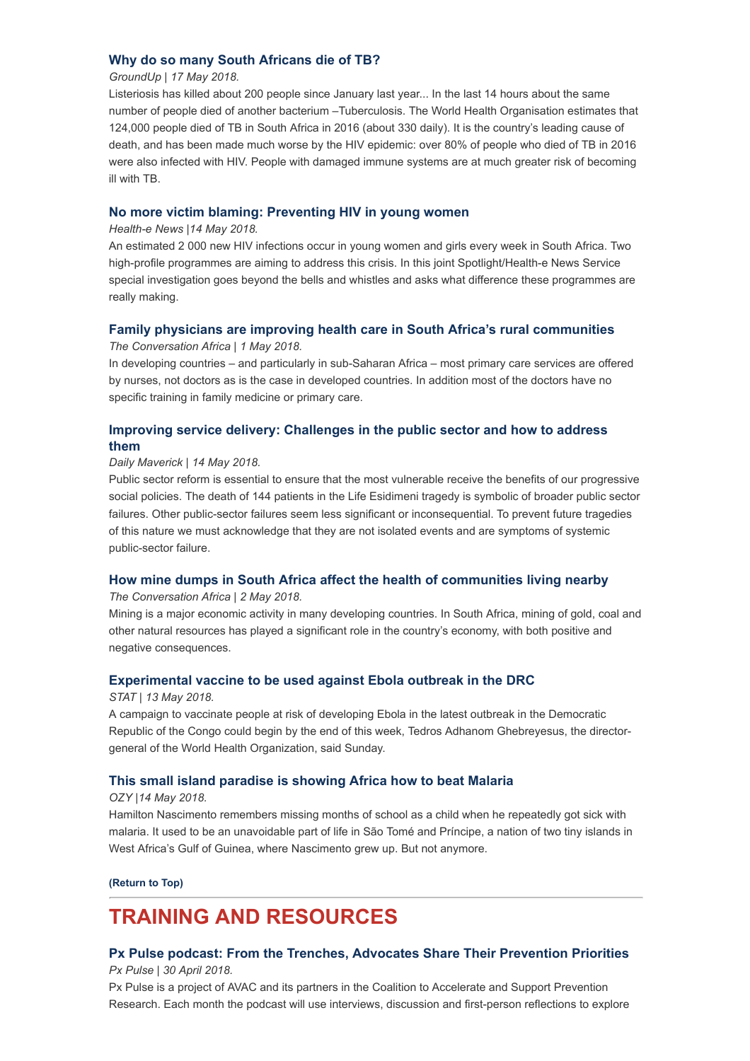### **[Why do so many South Africans die of TB?](https://www.dailymaverick.co.za/article/2018-05-17-groundup-why-do-so-many-south-africans-die-of-tb/#.Wv18VUiFPIV)**

#### *GroundUp | 17 May 2018.*

Listeriosis has killed about 200 people since January last year... In the last 14 hours about the same number of people died of another bacterium –Tuberculosis. The World Health Organisation estimates that 124,000 people died of TB in South Africa in 2016 (about 330 daily). It is the country's leading cause of death, and has been made much worse by the HIV epidemic: over 80% of people who died of TB in 2016 were also infected with HIV. People with damaged immune systems are at much greater risk of becoming ill with TB.

### **[No more victim blaming: Preventing HIV in young women](https://www.health-e.org.za/2018/05/14/no-more-victim-blaming-preventing-hiv-in-young-women/)**

#### *Health-e News |14 May 2018.*

An estimated 2 000 new HIV infections occur in young women and girls every week in South Africa. Two high-profile programmes are aiming to address this crisis. In this joint Spotlight/Health-e News Service special investigation goes beyond the bells and whistles and asks what difference these programmes are really making.

#### **[Family physicians are improving health care in South Africa's rural communities](https://theconversation.com/family-physicians-are-improving-health-care-in-south-africas-rural-communities-94768)**

*The Conversation Africa | 1 May 2018.*

In developing countries – and particularly in sub-Saharan Africa – most primary care services are offered by nurses, not doctors as is the case in developed countries. In addition most of the doctors have no specific training in family medicine or primary care.

## **[Improving service delivery: Challenges in the public sector and how to address](https://www.dailymaverick.co.za/article/2018-05-14-improving-service-delivery-challenges-in-the-public-sector-and-how-to-address-them/#.WvqrLWiFPIV) them**

#### *Daily Maverick | 14 May 2018.*

Public sector reform is essential to ensure that the most vulnerable receive the benefits of our progressive social policies. The death of 144 patients in the Life Esidimeni tragedy is symbolic of broader public sector failures. Other public-sector failures seem less significant or inconsequential. To prevent future tragedies of this nature we must acknowledge that they are not isolated events and are symptoms of systemic public-sector failure.

#### **[How mine dumps in South Africa affect the health of communities living nearby](https://theconversation.com/how-mine-dumps-in-south-africa-affect-the-health-of-communities-living-nearby-77113)**

*The Conversation Africa | 2 May 2018.*

Mining is a major economic activity in many developing countries. In South Africa, mining of gold, coal and other natural resources has played a significant role in the country's economy, with both positive and negative consequences.

#### **[Experimental vaccine to be used against Ebola outbreak in the DRC](https://www.statnews.com/2018/05/13/ebola-vaccination-program-could-begin-this-week-in-the-drc/?utm_source=STAT+Newsletters&utm_campaign=24ef4791b3-Pharmalot&utm_medium=email&utm_term=0_8cab1d7961-24ef4791b3-149648021)**

#### *STAT | 13 May 2018.*

A campaign to vaccinate people at risk of developing Ebola in the latest outbreak in the Democratic Republic of the Congo could begin by the end of this week, Tedros Adhanom Ghebreyesus, the directorgeneral of the World Health Organization, said Sunday.

#### **[This small island paradise is showing Africa how to beat Malaria](https://www.ozy.com/acumen/this-small-island-paradise-is-showing-africa-how-to-beat-malaria/86396?utm_source=Global+Health+NOW+Main+List&utm_campaign=f0f48656a9-EMAIL_CAMPAIGN_2018_05_14&utm_medium=email&utm_term=0_8d0d062dbd-f0f48656a9-2811001)**

#### *OZY |14 May 2018.*

Hamilton Nascimento remembers missing months of school as a child when he repeatedly got sick with malaria. It used to be an unavoidable part of life in São Tomé and Príncipe, a nation of two tiny islands in West Africa's Gulf of Guinea, where Nascimento grew up. But not anymore.

**[\(Return to Top\)](#page-0-1)**

## <span id="page-2-0"></span>**TRAINING AND RESOURCES**

### **[Px Pulse podcast: From the Trenches, Advocates Share Their Prevention Priorities](https://www.avac.org/podcast/advocates-share-prevention-priorities)** *Px Pulse | 30 April 2018.*

Px Pulse is a project of AVAC and its partners in the Coalition to Accelerate and Support Prevention Research. Each month the podcast will use interviews, discussion and first-person reflections to explore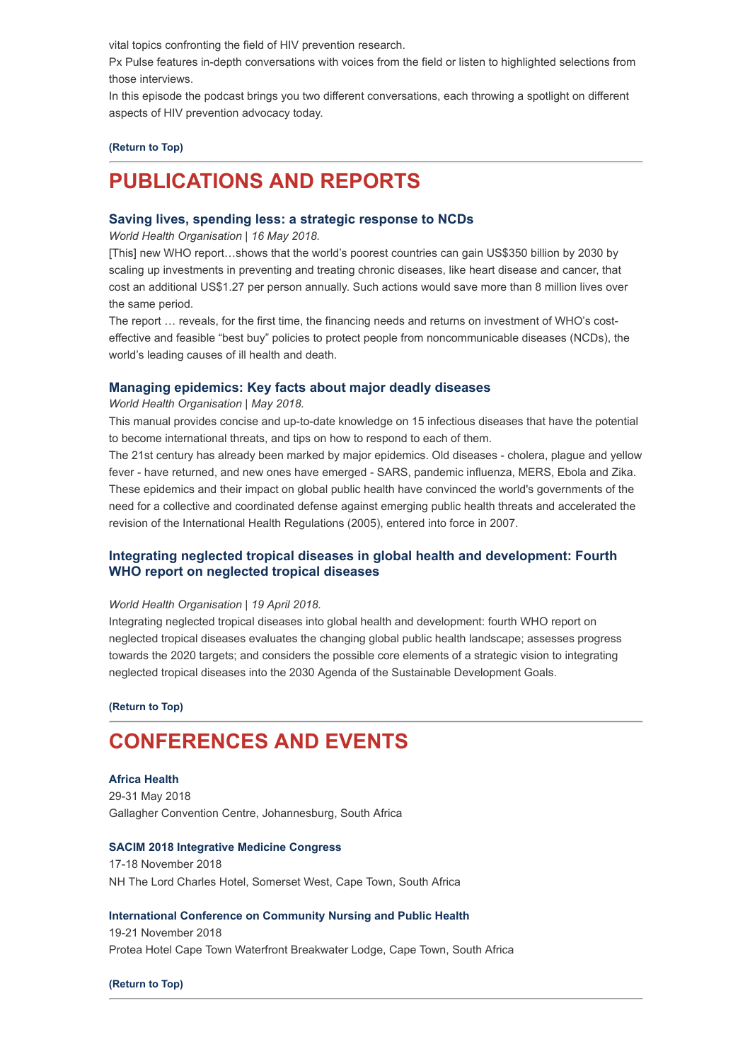vital topics confronting the field of HIV prevention research.

Px Pulse features in-depth conversations with voices from the field or listen to highlighted selections from those interviews.

In this episode the podcast brings you two different conversations, each throwing a spotlight on different aspects of HIV prevention advocacy today.

#### **[\(Return to Top\)](#page-0-1)**

# <span id="page-3-0"></span>**PUBLICATIONS AND REPORTS**

## **[Saving lives, spending less: a strategic response to NCDs](http://apps.who.int/iris/bitstream/handle/10665/272534/WHO-NMH-NVI-18.8-eng.pdf)**

*World Health Organisation | 16 May 2018.*

[This] new WHO report…shows that the world's poorest countries can gain US\$350 billion by 2030 by scaling up investments in preventing and treating chronic diseases, like heart disease and cancer, that cost an additional US\$1.27 per person annually. Such actions would save more than 8 million lives over the same period.

The report … reveals, for the first time, the financing needs and returns on investment of WHO's costeffective and feasible "best buy" policies to protect people from noncommunicable diseases (NCDs), the world's leading causes of ill health and death.

#### **[Managing epidemics: Key facts about major deadly diseases](http://www.who.int/emergencies/diseases/managing-epidemics/en/)**

#### *World Health Organisation | May 2018.*

This manual provides concise and up-to-date knowledge on 15 infectious diseases that have the potential to become international threats, and tips on how to respond to each of them.

The 21st century has already been marked by major epidemics. Old diseases - cholera, plague and yellow fever - have returned, and new ones have emerged - SARS, pandemic influenza, MERS, Ebola and Zika. These epidemics and their impact on global public health have convinced the world's governments of the need for a collective and coordinated defense against emerging public health threats and accelerated the revision of the International Health Regulations (2005), entered into force in 2007.

### **[Integrating neglected tropical diseases in global health and development: Fourth](http://apps.who.int/iris/bitstream/handle/10665/255011/9789241565448-eng.pdf?sequence=1) WHO report on neglected tropical diseases**

#### *World Health Organisation | 19 April 2018.*

Integrating neglected tropical diseases into global health and development: fourth WHO report on neglected tropical diseases evaluates the changing global public health landscape; assesses progress towards the 2020 targets; and considers the possible core elements of a strategic vision to integrating neglected tropical diseases into the 2030 Agenda of the Sustainable Development Goals.

**[\(Return to Top\)](#page-0-1)**

## <span id="page-3-1"></span>**CONFERENCES AND EVENTS**

#### **[Africa Health](https://www.africahealthexhibition.com/en/home-register.html)**

29-31 May 2018 Gallagher Convention Centre, Johannesburg, South Africa

#### **[SACIM 2018 Integrative Medicine Congress](http://www.integrativemedcongress.com/)**

17-18 November 2018 NH The Lord Charles Hotel, Somerset West, Cape Town, South Africa

#### **[International Conference on Community Nursing and Public Health](https://community.nursingconference.com/)**

19-21 November 2018 Protea Hotel Cape Town Waterfront Breakwater Lodge, Cape Town, South Africa

**[\(Return to Top\)](#page-0-1)**